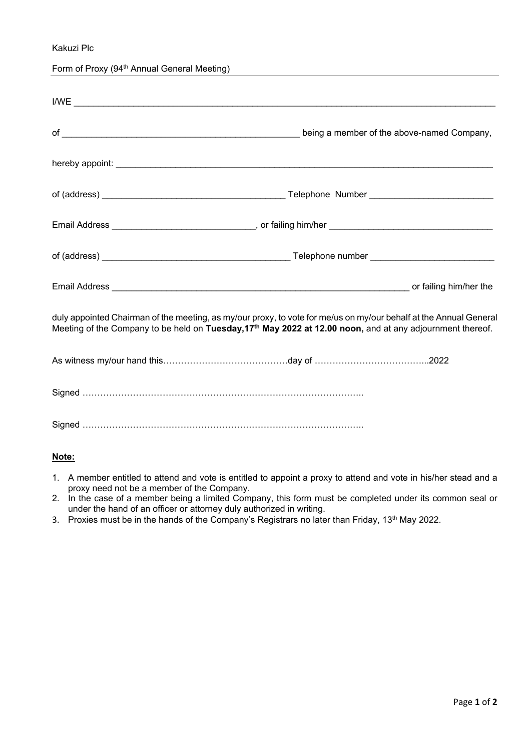Kakuzi Plc

Form of Proxy (94<sup>th</sup> Annual General Meeting)

| duly appointed Chairman of the meeting, as my/our proxy, to vote for me/us on my/our behalf at the Annual General<br>Meeting of the Company to be held on Tuesday, 17 <sup>th</sup> May 2022 at 12.00 noon, and at any adjournment thereof. |  |
|---------------------------------------------------------------------------------------------------------------------------------------------------------------------------------------------------------------------------------------------|--|
|                                                                                                                                                                                                                                             |  |
|                                                                                                                                                                                                                                             |  |
|                                                                                                                                                                                                                                             |  |

## **Note:**

- 1. A member entitled to attend and vote is entitled to appoint a proxy to attend and vote in his/her stead and a proxy need not be a member of the Company.
- 2. In the case of a member being a limited Company, this form must be completed under its common seal or under the hand of an officer or attorney duly authorized in writing.
- 3. Proxies must be in the hands of the Company's Registrars no later than Friday, 13<sup>th</sup> May 2022.